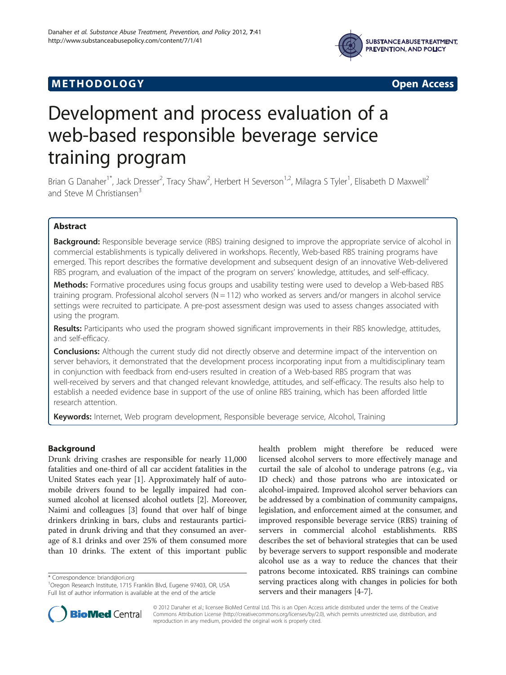

## **METHODOLOGY CONSUMING ACCESS**



# Development and process evaluation of a web-based responsible beverage service training program

Brian G Danaher<sup>1\*</sup>, Jack Dresser<sup>2</sup>, Tracy Shaw<sup>2</sup>, Herbert H Severson<sup>1,2</sup>, Milagra S Tyler<sup>1</sup>, Elisabeth D Maxwell<sup>2</sup> and Steve M Christiansen<sup>3</sup>

## Abstract

Background: Responsible beverage service (RBS) training designed to improve the appropriate service of alcohol in commercial establishments is typically delivered in workshops. Recently, Web-based RBS training programs have emerged. This report describes the formative development and subsequent design of an innovative Web-delivered RBS program, and evaluation of the impact of the program on servers' knowledge, attitudes, and self-efficacy.

Methods: Formative procedures using focus groups and usability testing were used to develop a Web-based RBS training program. Professional alcohol servers  $(N = 112)$  who worked as servers and/or mangers in alcohol service settings were recruited to participate. A pre-post assessment design was used to assess changes associated with using the program.

Results: Participants who used the program showed significant improvements in their RBS knowledge, attitudes, and self-efficacy.

**Conclusions:** Although the current study did not directly observe and determine impact of the intervention on server behaviors, it demonstrated that the development process incorporating input from a multidisciplinary team in conjunction with feedback from end-users resulted in creation of a Web-based RBS program that was well-received by servers and that changed relevant knowledge, attitudes, and self-efficacy. The results also help to establish a needed evidence base in support of the use of online RBS training, which has been afforded little research attention.

Keywords: Internet, Web program development, Responsible beverage service, Alcohol, Training

## Background

Drunk driving crashes are responsible for nearly 11,000 fatalities and one-third of all car accident fatalities in the United States each year [\[1\]](#page-7-0). Approximately half of automobile drivers found to be legally impaired had consumed alcohol at licensed alcohol outlets [\[2](#page-7-0)]. Moreover, Naimi and colleagues [\[3](#page-7-0)] found that over half of binge drinkers drinking in bars, clubs and restaurants participated in drunk driving and that they consumed an average of 8.1 drinks and over 25% of them consumed more than 10 drinks. The extent of this important public

\* Correspondence: [briand@ori.org](mailto:briand@ori.org) <sup>1</sup>

health problem might therefore be reduced were licensed alcohol servers to more effectively manage and curtail the sale of alcohol to underage patrons (e.g., via ID check) and those patrons who are intoxicated or alcohol-impaired. Improved alcohol server behaviors can be addressed by a combination of community campaigns, legislation, and enforcement aimed at the consumer, and improved responsible beverage service (RBS) training of servers in commercial alcohol establishments. RBS describes the set of behavioral strategies that can be used by beverage servers to support responsible and moderate alcohol use as a way to reduce the chances that their patrons become intoxicated. RBS trainings can combine serving practices along with changes in policies for both servers and their managers [\[4](#page-7-0)-[7\]](#page-7-0).



© 2012 Danaher et al.; licensee BioMed Central Ltd. This is an Open Access article distributed under the terms of the Creative Commons Attribution License [\(http://creativecommons.org/licenses/by/2.0\)](http://creativecommons.org/licenses/by/2.0), which permits unrestricted use, distribution, and reproduction in any medium, provided the original work is properly cited.

<sup>&</sup>lt;sup>1</sup>Oregon Research Institute, 1715 Franklin Blvd, Eugene 97403, OR, USA Full list of author information is available at the end of the article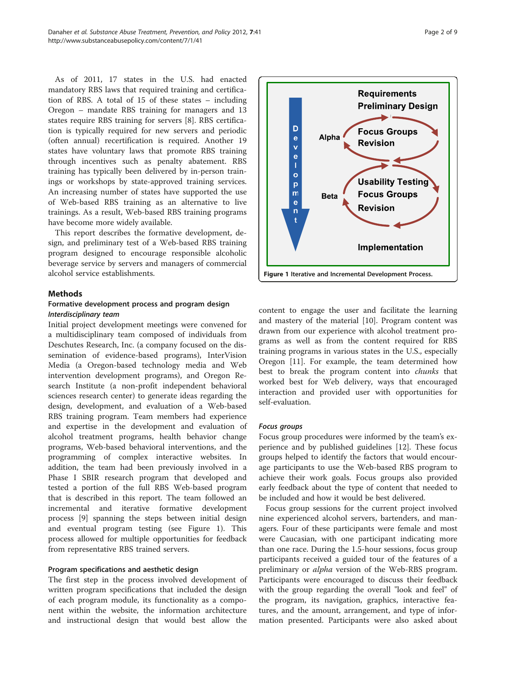As of 2011, 17 states in the U.S. had enacted mandatory RBS laws that required training and certification of RBS. A total of 15 of these states – including Oregon – mandate RBS training for managers and 13 states require RBS training for servers [[8\]](#page-7-0). RBS certification is typically required for new servers and periodic (often annual) recertification is required. Another 19 states have voluntary laws that promote RBS training through incentives such as penalty abatement. RBS training has typically been delivered by in-person trainings or workshops by state-approved training services. An increasing number of states have supported the use of Web-based RBS training as an alternative to live trainings. As a result, Web-based RBS training programs have become more widely available.

This report describes the formative development, design, and preliminary test of a Web-based RBS training program designed to encourage responsible alcoholic beverage service by servers and managers of commercial alcohol service establishments.

#### Methods

## Formative development process and program design Interdisciplinary team

Initial project development meetings were convened for a multidisciplinary team composed of individuals from Deschutes Research, Inc. (a company focused on the dissemination of evidence-based programs), InterVision Media (a Oregon-based technology media and Web intervention development programs), and Oregon Research Institute (a non-profit independent behavioral sciences research center) to generate ideas regarding the design, development, and evaluation of a Web-based RBS training program. Team members had experience and expertise in the development and evaluation of alcohol treatment programs, health behavior change programs, Web-based behavioral interventions, and the programming of complex interactive websites. In addition, the team had been previously involved in a Phase I SBIR research program that developed and tested a portion of the full RBS Web-based program that is described in this report. The team followed an incremental and iterative formative development process [[9\]](#page-7-0) spanning the steps between initial design and eventual program testing (see Figure 1). This process allowed for multiple opportunities for feedback from representative RBS trained servers.

#### Program specifications and aesthetic design

The first step in the process involved development of written program specifications that included the design of each program module, its functionality as a component within the website, the information architecture and instructional design that would best allow the



content to engage the user and facilitate the learning and mastery of the material [[10](#page-7-0)]. Program content was drawn from our experience with alcohol treatment programs as well as from the content required for RBS training programs in various states in the U.S., especially Oregon [\[11](#page-7-0)]. For example, the team determined how best to break the program content into chunks that worked best for Web delivery, ways that encouraged interaction and provided user with opportunities for self-evaluation.

#### Focus groups

Focus group procedures were informed by the team's experience and by published guidelines [[12\]](#page-7-0). These focus groups helped to identify the factors that would encourage participants to use the Web-based RBS program to achieve their work goals. Focus groups also provided early feedback about the type of content that needed to be included and how it would be best delivered.

Focus group sessions for the current project involved nine experienced alcohol servers, bartenders, and managers. Four of these participants were female and most were Caucasian, with one participant indicating more than one race. During the 1.5-hour sessions, focus group participants received a guided tour of the features of a preliminary or alpha version of the Web-RBS program. Participants were encouraged to discuss their feedback with the group regarding the overall "look and feel" of the program, its navigation, graphics, interactive features, and the amount, arrangement, and type of information presented. Participants were also asked about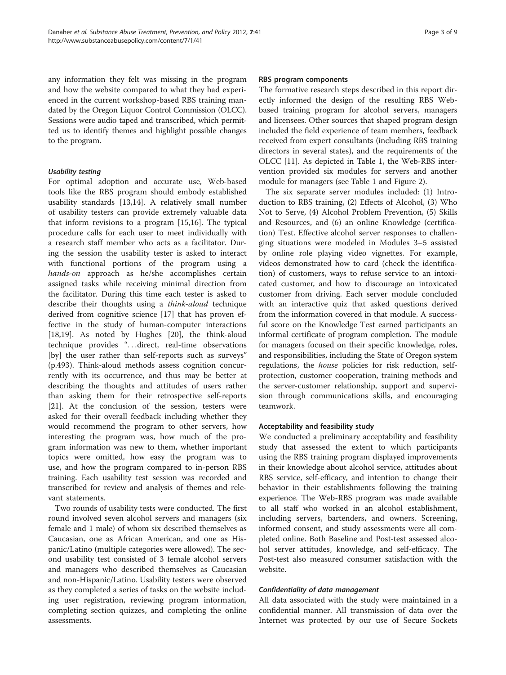any information they felt was missing in the program and how the website compared to what they had experienced in the current workshop-based RBS training mandated by the Oregon Liquor Control Commission (OLCC). Sessions were audio taped and transcribed, which permitted us to identify themes and highlight possible changes to the program.

## Usability testing

For optimal adoption and accurate use, Web-based tools like the RBS program should embody established usability standards [[13,14\]](#page-7-0). A relatively small number of usability testers can provide extremely valuable data that inform revisions to a program [\[15,16](#page-7-0)]. The typical procedure calls for each user to meet individually with a research staff member who acts as a facilitator. During the session the usability tester is asked to interact with functional portions of the program using a hands-on approach as he/she accomplishes certain assigned tasks while receiving minimal direction from the facilitator. During this time each tester is asked to describe their thoughts using a think-aloud technique derived from cognitive science [\[17](#page-7-0)] that has proven effective in the study of human-computer interactions [[18,19\]](#page-7-0). As noted by Hughes [[20\]](#page-7-0), the think-aloud technique provides "...direct, real-time observations [by] the user rather than self-reports such as surveys" (p.493). Think-aloud methods assess cognition concurrently with its occurrence, and thus may be better at describing the thoughts and attitudes of users rather than asking them for their retrospective self-reports [[21\]](#page-7-0). At the conclusion of the session, testers were asked for their overall feedback including whether they would recommend the program to other servers, how interesting the program was, how much of the program information was new to them, whether important topics were omitted, how easy the program was to use, and how the program compared to in-person RBS training. Each usability test session was recorded and transcribed for review and analysis of themes and relevant statements.

Two rounds of usability tests were conducted. The first round involved seven alcohol servers and managers (six female and 1 male) of whom six described themselves as Caucasian, one as African American, and one as Hispanic/Latino (multiple categories were allowed). The second usability test consisted of 3 female alcohol servers and managers who described themselves as Caucasian and non-Hispanic/Latino. Usability testers were observed as they completed a series of tasks on the website including user registration, reviewing program information, completing section quizzes, and completing the online assessments.

#### RBS program components

The formative research steps described in this report directly informed the design of the resulting RBS Webbased training program for alcohol servers, managers and licensees. Other sources that shaped program design included the field experience of team members, feedback received from expert consultants (including RBS training directors in several states), and the requirements of the OLCC [[11\]](#page-7-0). As depicted in Table [1,](#page-3-0) the Web-RBS intervention provided six modules for servers and another module for managers (see Table [1](#page-3-0) and Figure [2\)](#page-4-0).

The six separate server modules included: (1) Introduction to RBS training, (2) Effects of Alcohol, (3) Who Not to Serve, (4) Alcohol Problem Prevention, (5) Skills and Resources, and (6) an online Knowledge (certification) Test. Effective alcohol server responses to challenging situations were modeled in Modules 3–5 assisted by online role playing video vignettes. For example, videos demonstrated how to card (check the identification) of customers, ways to refuse service to an intoxicated customer, and how to discourage an intoxicated customer from driving. Each server module concluded with an interactive quiz that asked questions derived from the information covered in that module. A successful score on the Knowledge Test earned participants an informal certificate of program completion. The module for managers focused on their specific knowledge, roles, and responsibilities, including the State of Oregon system regulations, the house policies for risk reduction, selfprotection, customer cooperation, training methods and the server-customer relationship, support and supervision through communications skills, and encouraging teamwork.

#### Acceptability and feasibility study

We conducted a preliminary acceptability and feasibility study that assessed the extent to which participants using the RBS training program displayed improvements in their knowledge about alcohol service, attitudes about RBS service, self-efficacy, and intention to change their behavior in their establishments following the training experience. The Web-RBS program was made available to all staff who worked in an alcohol establishment, including servers, bartenders, and owners. Screening, informed consent, and study assessments were all completed online. Both Baseline and Post-test assessed alcohol server attitudes, knowledge, and self-efficacy. The Post-test also measured consumer satisfaction with the website.

#### Confidentiality of data management

All data associated with the study were maintained in a confidential manner. All transmission of data over the Internet was protected by our use of Secure Sockets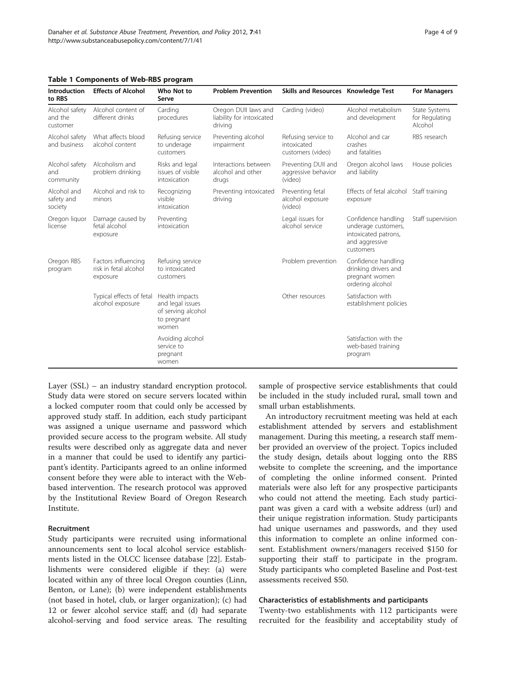<span id="page-3-0"></span>Table 1 Components of Web-RBS program

| Introduction<br>to RBS                | <b>Effects of Alcohol</b>                                | Who Not to<br>Serve                                                              | <b>Problem Prevention</b>                                    | Skills and Resources Knowledge Test                     |                                                                                                   | <b>For Managers</b>                        |
|---------------------------------------|----------------------------------------------------------|----------------------------------------------------------------------------------|--------------------------------------------------------------|---------------------------------------------------------|---------------------------------------------------------------------------------------------------|--------------------------------------------|
| Alcohol safety<br>and the<br>customer | Alcohol content of<br>different drinks                   | Carding<br>procedures                                                            | Oregon DUII laws and<br>liability for intoxicated<br>driving | Carding (video)                                         | Alcohol metabolism<br>and development                                                             | State Systems<br>for Regulating<br>Alcohol |
| Alcohol safety<br>and business        | What affects blood<br>alcohol content                    | Refusing service<br>to underage<br>customers                                     | Preventing alcohol<br>impairment                             | Refusing service to<br>intoxicated<br>customers (video) | Alcohol and car<br>crashes<br>and fatalities                                                      | RBS research                               |
| Alcohol safety<br>and<br>community    | Alcoholism and<br>problem drinking                       | Risks and legal<br>issues of visible<br>intoxication                             | Interactions between<br>alcohol and other<br>drugs           | Preventing DUII and<br>aggressive behavior<br>(video)   | Oregon alcohol laws<br>and liability                                                              | House policies                             |
| Alcohol and<br>safety and<br>society  | Alcohol and risk to<br>minors                            | Recognizing<br>visible<br>intoxication                                           | Preventing intoxicated<br>driving                            | Preventing fetal<br>alcohol exposure<br>(video)         | Effects of fetal alcohol Staff training<br>exposure                                               |                                            |
| Oregon liquor<br>license              | Damage caused by<br>fetal alcohol<br>exposure            | Preventing<br>intoxication                                                       |                                                              | Legal issues for<br>alcohol service                     | Confidence handling<br>underage customers,<br>intoxicated patrons,<br>and aggressive<br>customers | Staff supervision                          |
| Oregon RBS<br>program                 | Factors influencing<br>risk in fetal alcohol<br>exposure | Refusing service<br>to intoxicated<br>customers                                  |                                                              | Problem prevention                                      | Confidence handling<br>drinking drivers and<br>pregnant women<br>ordering alcohol                 |                                            |
|                                       | Typical effects of fetal<br>alcohol exposure             | Health impacts<br>and legal issues<br>of serving alcohol<br>to pregnant<br>women |                                                              | Other resources                                         | Satisfaction with<br>establishment policies                                                       |                                            |
|                                       |                                                          | Avoiding alcohol<br>service to<br>pregnant<br>women                              |                                                              |                                                         | Satisfaction with the<br>web-based training<br>program                                            |                                            |

Layer (SSL) – an industry standard encryption protocol. Study data were stored on secure servers located within a locked computer room that could only be accessed by approved study staff. In addition, each study participant was assigned a unique username and password which provided secure access to the program website. All study results were described only as aggregate data and never in a manner that could be used to identify any participant's identity. Participants agreed to an online informed consent before they were able to interact with the Webbased intervention. The research protocol was approved by the Institutional Review Board of Oregon Research Institute.

#### Recruitment

Study participants were recruited using informational announcements sent to local alcohol service establishments listed in the OLCC licensee database [\[22\]](#page-7-0). Establishments were considered eligible if they: (a) were located within any of three local Oregon counties (Linn, Benton, or Lane); (b) were independent establishments (not based in hotel, club, or larger organization); (c) had 12 or fewer alcohol service staff; and (d) had separate alcohol-serving and food service areas. The resulting

sample of prospective service establishments that could be included in the study included rural, small town and small urban establishments.

An introductory recruitment meeting was held at each establishment attended by servers and establishment management. During this meeting, a research staff member provided an overview of the project. Topics included the study design, details about logging onto the RBS website to complete the screening, and the importance of completing the online informed consent. Printed materials were also left for any prospective participants who could not attend the meeting. Each study participant was given a card with a website address (url) and their unique registration information. Study participants had unique usernames and passwords, and they used this information to complete an online informed consent. Establishment owners/managers received \$150 for supporting their staff to participate in the program. Study participants who completed Baseline and Post-test assessments received \$50.

#### Characteristics of establishments and participants

Twenty-two establishments with 112 participants were recruited for the feasibility and acceptability study of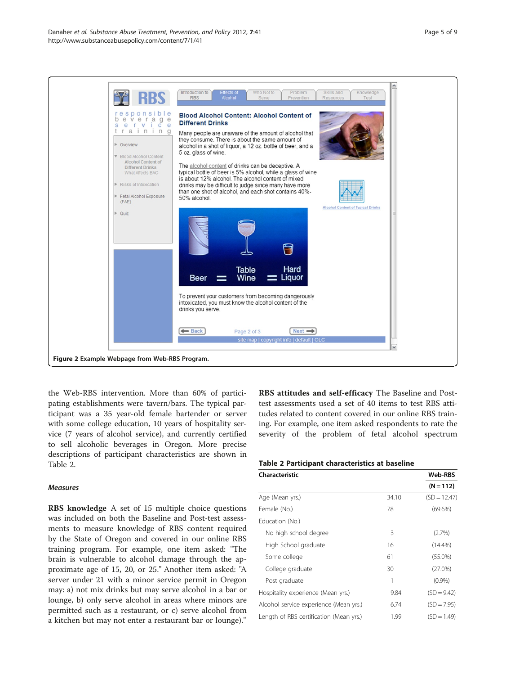<span id="page-4-0"></span>

the Web-RBS intervention. More than 60% of participating establishments were tavern/bars. The typical participant was a 35 year-old female bartender or server with some college education, 10 years of hospitality service (7 years of alcohol service), and currently certified to sell alcoholic beverages in Oregon. More precise descriptions of participant characteristics are shown in Table 2.

#### Measures

RBS knowledge A set of 15 multiple choice questions was included on both the Baseline and Post-test assessments to measure knowledge of RBS content required by the State of Oregon and covered in our online RBS training program. For example, one item asked: "The brain is vulnerable to alcohol damage through the approximate age of 15, 20, or 25." Another item asked: "A server under 21 with a minor service permit in Oregon may: a) not mix drinks but may serve alcohol in a bar or lounge, b) only serve alcohol in areas where minors are permitted such as a restaurant, or c) serve alcohol from a kitchen but may not enter a restaurant bar or lounge)."

RBS attitudes and self-efficacy The Baseline and Posttest assessments used a set of 40 items to test RBS attitudes related to content covered in our online RBS training. For example, one item asked respondents to rate the severity of the problem of fetal alcohol spectrum

## Table 2 Participant characteristics at baseline

| Characteristic                          |       | <b>Web-RBS</b> |
|-----------------------------------------|-------|----------------|
|                                         |       | $(N = 112)$    |
| Age (Mean yrs.)                         | 34.10 | $(SD = 12.47)$ |
| Female (No.)                            | 78    | $(69.6\%)$     |
| Education (No.)                         |       |                |
| No high school degree                   | 3     | $(2.7\%)$      |
| High School graduate                    | 16    | $(14.4\%)$     |
| Some college                            | 61    | $(55.0\%)$     |
| College graduate                        | 30    | $(27.0\%)$     |
| Post graduate                           | 1     | (0.9%          |
| Hospitality experience (Mean yrs.)      | 9.84  | $(SD = 9.42)$  |
| Alcohol service experience (Mean yrs.)  | 6.74  | $(SD = 7.95)$  |
| Length of RBS certification (Mean yrs.) | 1.99  | $(SD = 1.49)$  |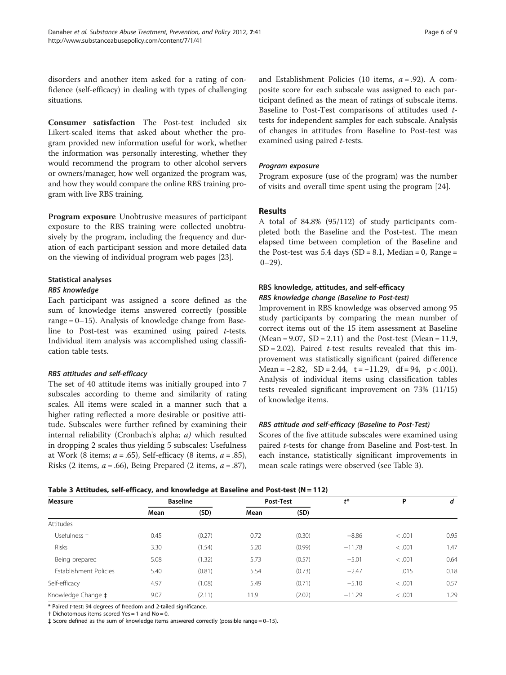disorders and another item asked for a rating of confidence (self-efficacy) in dealing with types of challenging situations.

Consumer satisfaction The Post-test included six Likert-scaled items that asked about whether the program provided new information useful for work, whether the information was personally interesting, whether they would recommend the program to other alcohol servers or owners/manager, how well organized the program was, and how they would compare the online RBS training program with live RBS training.

Program exposure Unobtrusive measures of participant exposure to the RBS training were collected unobtrusively by the program, including the frequency and duration of each participant session and more detailed data on the viewing of individual program web pages [[23\]](#page-7-0).

## Statistical analyses

## RBS knowledge

Each participant was assigned a score defined as the sum of knowledge items answered correctly (possible range  $= 0 - 15$ ). Analysis of knowledge change from Baseline to Post-test was examined using paired t-tests. Individual item analysis was accomplished using classification table tests.

#### RBS attitudes and self-efficacy

The set of 40 attitude items was initially grouped into 7 subscales according to theme and similarity of rating scales. All items were scaled in a manner such that a higher rating reflected a more desirable or positive attitude. Subscales were further refined by examining their internal reliability (Cronbach's alpha; a) which resulted in dropping 2 scales thus yielding 5 subscales: Usefulness at Work (8 items;  $a = .65$ ), Self-efficacy (8 items,  $a = .85$ ), Risks (2 items,  $a = .66$ ), Being Prepared (2 items,  $a = .87$ ), and Establishment Policies (10 items,  $a = .92$ ). A composite score for each subscale was assigned to each participant defined as the mean of ratings of subscale items. Baseline to Post-Test comparisons of attitudes used ttests for independent samples for each subscale. Analysis of changes in attitudes from Baseline to Post-test was examined using paired *t*-tests.

### Program exposure

Program exposure (use of the program) was the number of visits and overall time spent using the program [\[24](#page-7-0)].

## Results

A total of 84.8% (95/112) of study participants completed both the Baseline and the Post-test. The mean elapsed time between completion of the Baseline and the Post-test was  $5.4$  days (SD = 8.1, Median = 0, Range =  $0-29$ ).

## RBS knowledge, attitudes, and self-efficacy RBS knowledge change (Baseline to Post-test)

Improvement in RBS knowledge was observed among 95 study participants by comparing the mean number of correct items out of the 15 item assessment at Baseline  $(Mean = 9.07, SD = 2.11)$  and the Post-test (Mean = 11.9,  $SD = 2.02$ ). Paired *t*-test results revealed that this improvement was statistically significant (paired difference Mean =  $-2.82$ , SD = 2.44, t =  $-11.29$ , df = 94, p < .001). Analysis of individual items using classification tables tests revealed significant improvement on 73% (11/15) of knowledge items.

#### RBS attitude and self-efficacy (Baseline to Post-Test)

Scores of the five attitude subscales were examined using paired t-tests for change from Baseline and Post-test. In each instance, statistically significant improvements in mean scale ratings were observed (see Table 3).

| Table 3 Attitudes, self-efficacy, and knowledge at Baseline and Post-test (N = 112) |
|-------------------------------------------------------------------------------------|
|                                                                                     |

| Measure                | <b>Baseline</b> |        | Post-Test |        | $t^*$    | P      | d    |
|------------------------|-----------------|--------|-----------|--------|----------|--------|------|
|                        | Mean            | (SD)   | Mean      | (SD)   |          |        |      |
| Attitudes              |                 |        |           |        |          |        |      |
| Usefulness +           | 0.45            | (0.27) | 0.72      | (0.30) | $-8.86$  | < .001 | 0.95 |
| <b>Risks</b>           | 3.30            | (1.54) | 5.20      | (0.99) | $-11.78$ | < .001 | 1.47 |
| Being prepared         | 5.08            | (1.32) | 5.73      | (0.57) | $-5.01$  | < .001 | 0.64 |
| Establishment Policies | 5.40            | (0.81) | 5.54      | (0.73) | $-2.47$  | .015   | 0.18 |
| Self-efficacy          | 4.97            | (1.08) | 5.49      | (0.71) | $-5.10$  | < .001 | 0.57 |
| Knowledge Change $\pm$ | 9.07            | (2.11) | 11.9      | (2.02) | $-11.29$ | < .001 | 1.29 |

\* Paired t-test: 94 degrees of freedom and 2-tailed significance.

† Dichotomous items scored Yes = 1 and No = 0.

 $\ddagger$  Score defined as the sum of knowledge items answered correctly (possible range = 0–15).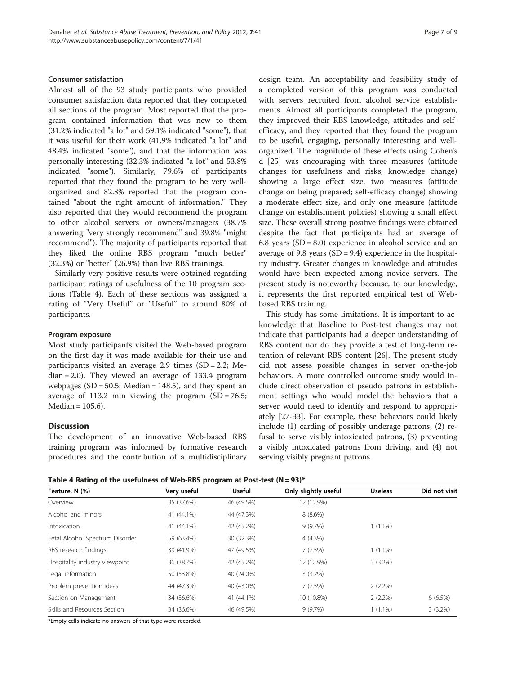#### Consumer satisfaction

Almost all of the 93 study participants who provided consumer satisfaction data reported that they completed all sections of the program. Most reported that the program contained information that was new to them (31.2% indicated "a lot" and 59.1% indicated "some"), that it was useful for their work (41.9% indicated "a lot" and 48.4% indicated "some"), and that the information was personally interesting (32.3% indicated "a lot" and 53.8% indicated "some"). Similarly, 79.6% of participants reported that they found the program to be very wellorganized and 82.8% reported that the program contained "about the right amount of information." They also reported that they would recommend the program to other alcohol servers or owners/managers (38.7% answering "very strongly recommend" and 39.8% "might recommend"). The majority of participants reported that they liked the online RBS program "much better" (32.3%) or "better" (26.9%) than live RBS trainings.

Similarly very positive results were obtained regarding participant ratings of usefulness of the 10 program sections (Table 4). Each of these sections was assigned a rating of "Very Useful" or "Useful" to around 80% of participants.

#### Program exposure

Most study participants visited the Web-based program on the first day it was made available for their use and participants visited an average 2.9 times (SD = 2.2; Median = 2.0). They viewed an average of 133.4 program webpages (SD =  $50.5$ ; Median =  $148.5$ ), and they spent an average of 113.2 min viewing the program  $(SD = 76.5;$ Median = 105.6).

## **Discussion**

The development of an innovative Web-based RBS training program was informed by formative research procedures and the contribution of a multidisciplinary design team. An acceptability and feasibility study of a completed version of this program was conducted with servers recruited from alcohol service establishments. Almost all participants completed the program, they improved their RBS knowledge, attitudes and selfefficacy, and they reported that they found the program to be useful, engaging, personally interesting and wellorganized. The magnitude of these effects using Cohen's d [\[25](#page-8-0)] was encouraging with three measures (attitude changes for usefulness and risks; knowledge change) showing a large effect size, two measures (attitude change on being prepared; self-efficacy change) showing a moderate effect size, and only one measure (attitude change on establishment policies) showing a small effect size. These overall strong positive findings were obtained despite the fact that participants had an average of 6.8 years  $(SD = 8.0)$  experience in alcohol service and an average of 9.8 years  $(SD = 9.4)$  experience in the hospitality industry. Greater changes in knowledge and attitudes would have been expected among novice servers. The present study is noteworthy because, to our knowledge, it represents the first reported empirical test of Webbased RBS training.

This study has some limitations. It is important to acknowledge that Baseline to Post-test changes may not indicate that participants had a deeper understanding of RBS content nor do they provide a test of long-term retention of relevant RBS content [\[26\]](#page-8-0). The present study did not assess possible changes in server on-the-job behaviors. A more controlled outcome study would include direct observation of pseudo patrons in establishment settings who would model the behaviors that a server would need to identify and respond to appropriately [\[27-33](#page-8-0)]. For example, these behaviors could likely include (1) carding of possibly underage patrons, (2) refusal to serve visibly intoxicated patrons, (3) preventing a visibly intoxicated patrons from driving, and (4) not serving visibly pregnant patrons.

| Table 4 Rating of the usefulness of Web-RBS program at Post-test (N = 93)* |  |  |  |  |  |
|----------------------------------------------------------------------------|--|--|--|--|--|
|----------------------------------------------------------------------------|--|--|--|--|--|

| Feature, N (%)                  | Very useful | <b>Useful</b> | Only slightly useful | <b>Useless</b> | Did not visit |
|---------------------------------|-------------|---------------|----------------------|----------------|---------------|
| Overview                        | 35 (37.6%)  | 46 (49.5%)    | 12 (12.9%)           |                |               |
| Alcohol and minors              | 41 (44.1%)  | 44 (47.3%)    | $8(8.6\%)$           |                |               |
| Intoxication                    | 41 (44.1%)  | 42 (45.2%)    | 9(9.7%)              | $1(1.1\%)$     |               |
| Fetal Alcohol Spectrum Disorder | 59 (63.4%)  | 30 (32.3%)    | $4(4.3\%)$           |                |               |
| RBS research findings           | 39 (41.9%)  | 47 (49.5%)    | 7(7.5%)              | $1(1.1\%)$     |               |
| Hospitality industry viewpoint  | 36 (38.7%)  | 42 (45.2%)    | 12 (12.9%)           | 3(3.2%)        |               |
| Legal information               | 50 (53.8%)  | 40 (24.0%)    | $3(3.2\%)$           |                |               |
| Problem prevention ideas        | 44 (47.3%)  | 40 (43.0%)    | 7(7.5%)              | 2(2.2%)        |               |
| Section on Management           | 34 (36.6%)  | 41 (44.1%)    | 10 (10.8%)           | 2(2.2%)        | 6(6.5%)       |
| Skills and Resources Section    | 34 (36.6%)  | 46 (49.5%)    | 9(9.7%)              | $1(1.1\%)$     | 3(3.2%)       |

\*Empty cells indicate no answers of that type were recorded.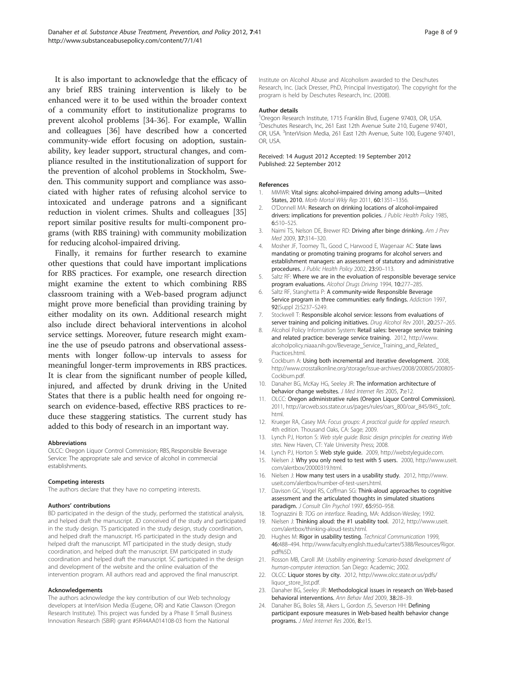<span id="page-7-0"></span>It is also important to acknowledge that the efficacy of any brief RBS training intervention is likely to be enhanced were it to be used within the broader context of a community effort to institutionalize programs to prevent alcohol problems [\[34](#page-8-0)-[36\]](#page-8-0). For example, Wallin and colleagues [\[36](#page-8-0)] have described how a concerted community-wide effort focusing on adoption, sustainability, key leader support, structural changes, and compliance resulted in the institutionalization of support for the prevention of alcohol problems in Stockholm, Sweden. This community support and compliance was associated with higher rates of refusing alcohol service to intoxicated and underage patrons and a significant reduction in violent crimes. Shults and colleagues [[35](#page-8-0)] report similar positive results for multi-component programs (with RBS training) with community mobilization for reducing alcohol-impaired driving.

Finally, it remains for further research to examine other questions that could have important implications for RBS practices. For example, one research direction might examine the extent to which combining RBS classroom training with a Web-based program adjunct might prove more beneficial than providing training by either modality on its own. Additional research might also include direct behavioral interventions in alcohol service settings. Moreover, future research might examine the use of pseudo patrons and observational assessments with longer follow-up intervals to assess for meaningful longer-term improvements in RBS practices. It is clear from the significant number of people killed, injured, and affected by drunk driving in the United States that there is a public health need for ongoing research on evidence-based, effective RBS practices to reduce these staggering statistics. The current study has added to this body of research in an important way.

#### Abbreviations

OLCC: Oregon Liquor Control Commission; RBS, Responsible Beverage Service: The appropriate sale and service of alcohol in commercial establishments.

#### Competing interests

The authors declare that they have no competing interests.

#### Authors' contributions

BD participated in the design of the study, performed the statistical analysis, and helped draft the manuscript. JD conceived of the study and participated in the study design. TS participated in the study design, study coordination, and helped draft the manuscript. HS participated in the study design and helped draft the manuscript. MT participated in the study design, study coordination, and helped draft the manuscript. EM participated in study coordination and helped draft the manuscript. SC participated in the design and development of the website and the online evaluation of the intervention program. All authors read and approved the final manuscript.

#### Acknowledgements

The authors acknowledge the key contribution of our Web technology developers at InterVision Media (Eugene, OR) and Katie Clawson (Oregon Research Institute). This project was funded by a Phase II Small Business Innovation Research (SBIR) grant #5R44AA014108-03 from the National

Institute on Alcohol Abuse and Alcoholism awarded to the Deschutes Research, Inc. (Jack Dresser, PhD, Principal Investigator). The copyright for the program is held by Deschutes Research, Inc. (2008).

#### Author details

1 Oregon Research Institute, 1715 Franklin Blvd, Eugene 97403, OR, USA. 2 Deschutes Research, Inc, 261 East 12th Avenue Suite 210, Eugene 97401, OR, USA. <sup>3</sup>InterVision Media, 261 East 12th Avenue, Suite 100, Eugene 97401, OR, USA.

#### Received: 14 August 2012 Accepted: 19 September 2012 Published: 22 September 2012

#### References

- 1. MMWR: Vital signs: alcohol-impaired driving among adults—United States, 2010. Morb Mortal Wkly Rep 2011, 60:1351–1356.
- 2. O'Donnell MA: Research on drinking locations of alcohol-impaired drivers: implications for prevention policies. J Public Health Policy 1985, 6:510–525.
- 3. Naimi TS, Nelson DE, Brewer RD: Driving after binge drinking. Am J Prev Med 2009, 37:314–320.
- 4. Mosher JF, Toomey TL, Good C, Harwood E, Wagenaar AC: State laws mandating or promoting training programs for alcohol servers and establishment managers: an assessment of statutory and administrative procedures. J Public Health Policy 2002, 23:90–113.
- 5. Saltz RF: Where we are in the evoluation of responsible beverage service program evaluations. Alcohol Drugs Driving 1994, 10:277–285.
- 6. Saltz RF, Stanghetta P: A community-wide Responsible Beverage Service program in three communities: early findings. Addiction 1997, 92(Suppl 2):S237–S249.
- 7. Stockwell T: Responsible alcohol service: lessons from evaluations of server training and policing initiatives. Drug Alcohol Rev 2001, 20:257-265.
- 8. Alcohol Policy Information System: Retail sales: beverage service training and related practice: beverage service training. 2012, [http://www.](http://www.alcoholpolicy.niaaa.nih.gov/Beverage_Service_Training_and_Related_Practices.html) [alcoholpolicy.niaaa.nih.gov/Beverage\\_Service\\_Training\\_and\\_Related\\_](http://www.alcoholpolicy.niaaa.nih.gov/Beverage_Service_Training_and_Related_Practices.html) [Practices.html.](http://www.alcoholpolicy.niaaa.nih.gov/Beverage_Service_Training_and_Related_Practices.html)
- 9. Cockburn A: Using both incremental and iterative development. 2008, [http://www.crosstalkonline.org/storage/issue-archives/2008/200805/200805-](http://www.crosstalkonline.org/storage/issue-archives/2008/200805/200805-Cockburn.pdf) [Cockburn.pdf.](http://www.crosstalkonline.org/storage/issue-archives/2008/200805/200805-Cockburn.pdf)
- 10. Danaher BG, McKay HG, Seeley JR: The information architecture of behavior change websites. J Med Internet Res 2005, 7:e12.
- 11. OLCC: Oregon administrative rules (Oregon Liguor Control Commission). 2011, [http://arcweb.sos.state.or.us/pages/rules/oars\\_800/oar\\_845/845\\_tofc.](http://arcweb.sos.state.or.us/pages/rules/oars_800/oar_845/845_tofc.html) [html.](http://arcweb.sos.state.or.us/pages/rules/oars_800/oar_845/845_tofc.html)
- 12. Krueger RA, Casey MA: Focus groups: A practical guide for applied research. 4th edition. Thousand Oaks, CA: Sage; 2009.
- 13. Lynch PJ, Horton S: Web style guide: Basic design principles for creating Web sites. New Haven, CT: Yale University Press; 2008.
- 14. Lynch PJ, Horton S: Web style quide. 2009,<http://webstyleguide.com>.
- 15. Nielsen J: Why you only need to test with 5 users. 2000, [http://www.useit.](http://www.useit.com/alertbox/20000319.html) [com/alertbox/20000319.html.](http://www.useit.com/alertbox/20000319.html)
- 16. Nielsen J: How many test users in a usability study. 2012, [http://www.](http://www.useit.com/alertbox/number-of-test-users.html) [useit.com/alertbox/number-of-test-users.html](http://www.useit.com/alertbox/number-of-test-users.html).
- 17. Davison GC, Vogel RS, Coffman SG: Think-aloud approaches to cognitive assessment and the articulated thoughts in simulated situations paradigm. J Consult Clin Psychol 1997, 65:950-958.
- 18. Tognazzini B: TOG on interface. Reading, MA: Addison-Wesley; 1992.
- 19. Nielsen J: Thinking aloud: the #1 usability tool. 2012, [http://www.useit.](http://www.useit.com/alertbox/thinking-aloud-tests.html) [com/alertbox/thinking-aloud-tests.html](http://www.useit.com/alertbox/thinking-aloud-tests.html).
- 20. Hughes M: Rigor in usability testing. Technical Communication 1999, 46:488–494. [http://www.faculty.english.ttu.edu/carter/5388/Resources/Rigor.](http://www.faculty.english.ttu.edu/carter/5388/Resources/Rigor.pdf%5D) [pdf%5D](http://www.faculty.english.ttu.edu/carter/5388/Resources/Rigor.pdf%5D).
- 21. Rosson MB, Caroll JM: Usability engineering: Scenario-based development of human-computer interaction. San Diego: Academic; 2002.
- 22. OLCC: Liquor stores by city. 2012, [http://www.olcc.state.or.us/pdfs/](http://www.olcc.state.or.us/pdfs/liquor_store_list.pdf) [liquor\\_store\\_list.pdf.](http://www.olcc.state.or.us/pdfs/liquor_store_list.pdf)
- 23. Danaher BG, Seeley JR: Methodological issues in research on Web-based behavioral interventions. Ann Behav Med 2009, 38:28–39.
- 24. Danaher BG, Boles SB, Akers L, Gordon JS, Severson HH: Defining participant exposure measures in Web-based health behavior change programs. J Med Internet Res 2006, 8:e15.